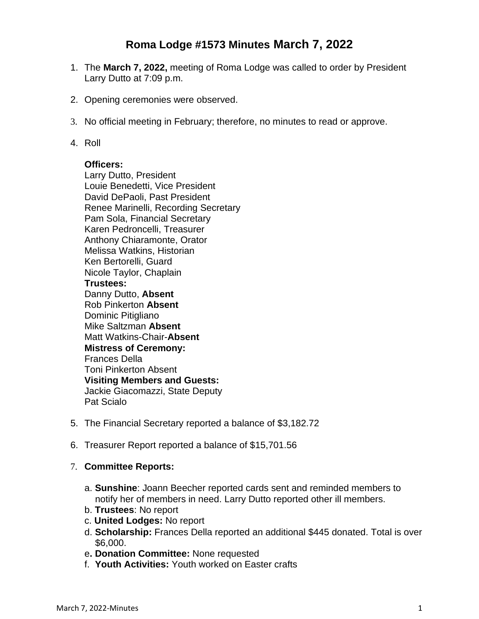# **Roma Lodge #1573 Minutes March 7, 2022**

- 1. The **March 7, 2022,** meeting of Roma Lodge was called to order by President Larry Dutto at 7:09 p.m.
- 2. Opening ceremonies were observed.
- 3. No official meeting in February; therefore, no minutes to read or approve.
- 4. Roll

#### **Officers:**

Larry Dutto, President Louie Benedetti, Vice President David DePaoli, Past President Renee Marinelli, Recording Secretary Pam Sola, Financial Secretary Karen Pedroncelli, Treasurer Anthony Chiaramonte, Orator Melissa Watkins, Historian Ken Bertorelli, Guard Nicole Taylor, Chaplain **Trustees:** Danny Dutto, **Absent** Rob Pinkerton **Absent** Dominic Pitigliano Mike Saltzman **Absent** Matt Watkins-Chair-**Absent Mistress of Ceremony:** Frances Della Toni Pinkerton Absent **Visiting Members and Guests:** Jackie Giacomazzi, State Deputy Pat Scialo

- 5. The Financial Secretary reported a balance of \$3,182.72
- 6. Treasurer Report reported a balance of \$15,701.56

## 7. **Committee Reports:**

- a. **Sunshine**: Joann Beecher reported cards sent and reminded members to notify her of members in need. Larry Dutto reported other ill members.
- b. **Trustees**: No report
- c. **United Lodges:** No report
- d. **Scholarship:** Frances Della reported an additional \$445 donated. Total is over \$6,000.
- e**. Donation Committee:** None requested
- f. **Youth Activities:** Youth worked on Easter crafts